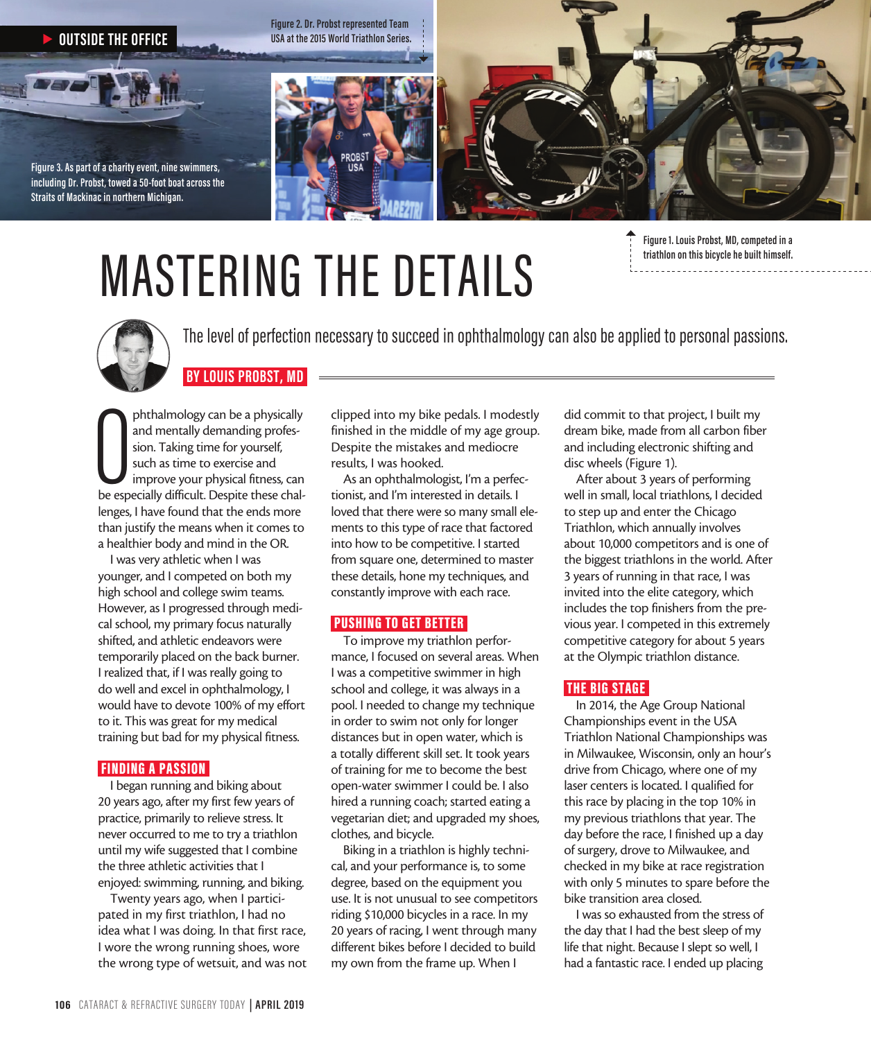

# MASTERING THE DETAILS

**Figure 1. Louis Probst, MD, competed in a triathlon on this bicycle he built himself.**



The level of perfection necessary to succeed in ophthalmology can also be applied to personal passions.

# phthalmology can be a physically<br>and mentally demanding profes-<br>sion. Taking time for yourself,<br>such as time to exercise and<br>improve your physical fitness, can<br>be especially difficult. Despite these chalphthalmology can be a physically and mentally demanding profession. Taking time for yourself, such as time to exercise and improve your physical fitness, can

 **BY LOUIS PROBST, MD** 

lenges, I have found that the ends more than justify the means when it comes to a healthier body and mind in the OR.

I was very athletic when I was younger, and I competed on both my high school and college swim teams. However, as I progressed through medical school, my primary focus naturally shifted, and athletic endeavors were temporarily placed on the back burner. I realized that, if I was really going to do well and excel in ophthalmology, I would have to devote 100% of my effort to it. This was great for my medical training but bad for my physical fitness.

### FINDING A PASSION

I began running and biking about 20 years ago, after my first few years of practice, primarily to relieve stress. It never occurred to me to try a triathlon until my wife suggested that I combine the three athletic activities that I enjoyed: swimming, running, and biking.

Twenty years ago, when I participated in my first triathlon, I had no idea what I was doing. In that first race, I wore the wrong running shoes, wore the wrong type of wetsuit, and was not clipped into my bike pedals. I modestly finished in the middle of my age group. Despite the mistakes and mediocre results, I was hooked.

As an ophthalmologist, I'm a perfectionist, and I'm interested in details. I loved that there were so many small elements to this type of race that factored into how to be competitive. I started from square one, determined to master these details, hone my techniques, and constantly improve with each race.

# PUSHING TO GET BETTER

To improve my triathlon performance, I focused on several areas. When I was a competitive swimmer in high school and college, it was always in a pool. I needed to change my technique in order to swim not only for longer distances but in open water, which is a totally different skill set. It took years of training for me to become the best open-water swimmer I could be. I also hired a running coach; started eating a vegetarian diet; and upgraded my shoes, clothes, and bicycle.

Biking in a triathlon is highly technical, and your performance is, to some degree, based on the equipment you use. It is not unusual to see competitors riding \$10,000 bicycles in a race. In my 20 years of racing, I went through many different bikes before I decided to build my own from the frame up. When I

did commit to that project, I built my dream bike, made from all carbon fiber and including electronic shifting and disc wheels (Figure 1).

After about 3 years of performing well in small, local triathlons, I decided to step up and enter the Chicago Triathlon, which annually involves about 10,000 competitors and is one of the biggest triathlons in the world. After 3 years of running in that race, I was invited into the elite category, which includes the top finishers from the previous year. I competed in this extremely competitive category for about 5 years at the Olympic triathlon distance.

# THE BIG STAGE

In 2014, the Age Group National Championships event in the USA Triathlon National Championships was in Milwaukee, Wisconsin, only an hour's drive from Chicago, where one of my laser centers is located. I qualified for this race by placing in the top 10% in my previous triathlons that year. The day before the race, I finished up a day of surgery, drove to Milwaukee, and checked in my bike at race registration with only 5 minutes to spare before the bike transition area closed.

I was so exhausted from the stress of the day that I had the best sleep of my life that night. Because I slept so well, I had a fantastic race. I ended up placing